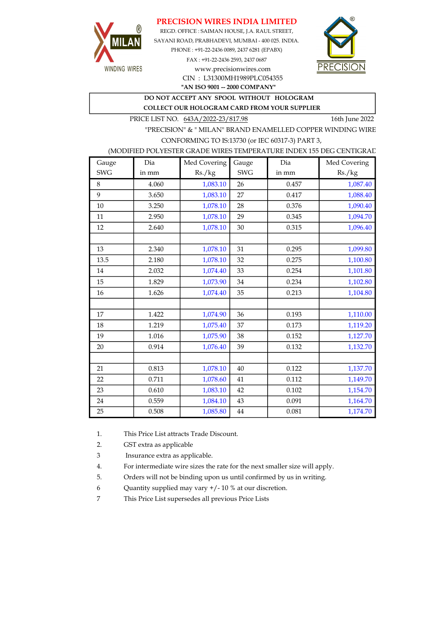### PRECISION WIRES INDIA LIMITED



REGD. OFFICE : SAIMAN HOUSE, J.A. RAUL STREET, SAYANI ROAD, PRABHADEVI, MUMBAI - 400 025. INDIA. PHONE : +91-22-2436 0089, 2437 6281 (EPABX) FAX : +91-22-2436 2593, 2437 0687 www.precisionwires.com



"AN ISO 9001 -- 2000 COMPANY" CIN : L31300MH1989PLC054355

DO NOT ACCEPT ANY SPOOL WITHOUT HOLOGRAM

COLLECT OUR HOLOGRAM CARD FROM YOUR SUPPLIER

PRICE LIST NO. 643A/2022-23/817.98 16th June 2022

"PRECISION" & " MILAN" BRAND ENAMELLED COPPER WINDING WIRE CONFORMING TO IS:13730 (or IEC 60317-3) PART 3,

### (MODIFIED POLYESTER GRADE WIRES TEMPERATURE INDEX 155 DEG CENTIGRAD

| Gauge      | Dia   | Med Covering | Gauge      | Dia   | Med Covering |
|------------|-------|--------------|------------|-------|--------------|
| <b>SWG</b> | in mm | Rs./kg       | <b>SWG</b> | in mm | Rs./kg       |
| 8          | 4.060 | 1,083.10     | 26         | 0.457 | 1,087.40     |
| 9          | 3.650 | 1,083.10     | 27         | 0.417 | 1,088.40     |
| 10         | 3.250 | 1,078.10     | 28         | 0.376 | 1,090.40     |
| 11         | 2.950 | 1,078.10     | 29         | 0.345 | 1,094.70     |
| 12         | 2.640 | 1,078.10     | 30         | 0.315 | 1,096.40     |
|            |       |              |            |       |              |
| 13         | 2.340 | 1,078.10     | 31         | 0.295 | 1,099.80     |
| 13.5       | 2.180 | 1,078.10     | 32         | 0.275 | 1,100.80     |
| 14         | 2.032 | 1,074.40     | 33         | 0.254 | 1,101.80     |
| 15         | 1.829 | 1,073.90     | 34         | 0.234 | 1,102.80     |
| 16         | 1.626 | 1,074.40     | 35         | 0.213 | 1,104.80     |
|            |       |              |            |       |              |
| 17         | 1.422 | 1,074.90     | 36         | 0.193 | 1,110.00     |
| 18         | 1.219 | 1,075.40     | 37         | 0.173 | 1,119.20     |
| 19         | 1.016 | 1,075.90     | 38         | 0.152 | 1,127.70     |
| 20         | 0.914 | 1,076.40     | 39         | 0.132 | 1,132.70     |
|            |       |              |            |       |              |
| 21         | 0.813 | 1,078.10     | 40         | 0.122 | 1,137.70     |
| 22         | 0.711 | 1,078.60     | 41         | 0.112 | 1,149.70     |
| 23         | 0.610 | 1,083.10     | 42         | 0.102 | 1,154.70     |
| 24         | 0.559 | 1,084.10     | 43         | 0.091 | 1,164.70     |
| 25         | 0.508 | 1,085.80     | 44         | 0.081 | 1,174.70     |

1. This Price List attracts Trade Discount.

2. GST extra as applicable

3 Insurance extra as applicable.

4. For intermediate wire sizes the rate for the next smaller size will apply.

5. Orders will not be binding upon us until confirmed by us in writing.

6 Quantity supplied may vary +/- 10 % at our discretion.

7 This Price List supersedes all previous Price Lists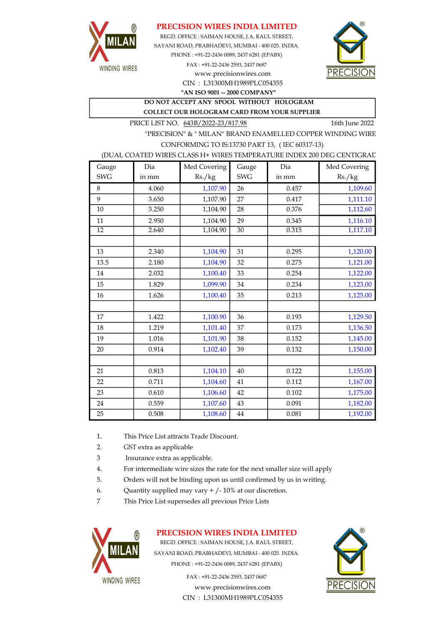

### PRECISION WIRES INDIA LIMITED

REGD. OFFICE : SAIMAN HOUSE, J.A. RAUL STREET, SAYANI ROAD, PRABHADEVI, MUMBAI - 400 025. INDIA. PHONE : +91-22-2436 0089, 2437 6281 (EPABX) FAX : +91-22-2436 2593, 2437 0687 www.precisionwires.com



CIN : L31300MH1989PLC054355 "AN ISO 9001 -- 2000 COMPANY"

DO NOT ACCEPT ANY SPOOL WITHOUT HOLOGRAM COLLECT OUR HOLOGRAM CARD FROM YOUR SUPPLIER

PRICE LIST NO.  $643B/2022-23/817.98$  16th June 2022

"PRECISION" & " MILAN" BRAND ENAMELLED COPPER WINDING WIRE CONFORMING TO IS:13730 PART 13, ( IEC 60317-13)

#### (DUAL COATED WIRES CLASS H+ WIRES TEMPERATURE INDEX 200 DEG CENTIGRAD

| Gauge           | Dia   | Med Covering | Gauge           | Dia   | Med Covering |
|-----------------|-------|--------------|-----------------|-------|--------------|
| <b>SWG</b>      | in mm | Rs./kg       | <b>SWG</b>      | in mm | Rs./kg       |
| 8               | 4.060 | 1,107.90     | 26              | 0.457 | 1,109.60     |
| 9               | 3.650 | 1,107.90     | 27              | 0.417 | 1,111.10     |
| 10              | 3.250 | 1,104.90     | 28              | 0.376 | 1,112.60     |
| 11              | 2.950 | 1,104.90     | 29              | 0.345 | 1,116.10     |
| $\overline{12}$ | 2.640 | 1,104.90     | $\overline{30}$ | 0.315 | 1,117.10     |
|                 |       |              |                 |       |              |
| 13              | 2.340 | 1,104.90     | 31              | 0.295 | 1,120.00     |
| 13.5            | 2.180 | 1,104.90     | 32              | 0.275 | 1,121.00     |
| 14              | 2.032 | 1,100.40     | 33              | 0.254 | 1,122.00     |
| 15              | 1.829 | 1,099.90     | 34              | 0.234 | 1,123.00     |
| 16              | 1.626 | 1,100.40     | 35              | 0.213 | 1,125.00     |
|                 |       |              |                 |       |              |
| 17              | 1.422 | 1,100.90     | 36              | 0.193 | 1,129.50     |
| 18              | 1.219 | 1,101.40     | 37              | 0.173 | 1,136.50     |
| 19              | 1.016 | 1,101.90     | 38              | 0.152 | 1,145.00     |
| 20              | 0.914 | 1,102.40     | 39              | 0.132 | 1,150.00     |
|                 |       |              |                 |       |              |
| 21              | 0.813 | 1,104.10     | 40              | 0.122 | 1,155.00     |
| 22              | 0.711 | 1,104.60     | 41              | 0.112 | 1,167.00     |
| 23              | 0.610 | 1,106.60     | 42              | 0.102 | 1,175.00     |
| 24              | 0.559 | 1,107.60     | 43              | 0.091 | 1,182.00     |
| 25              | 0.508 | 1,108.60     | $\bf 44$        | 0.081 | 1,192.00     |

- 1. This Price List attracts Trade Discount.
- 2. GST extra as applicable
- 3 Insurance extra as applicable.
- 4. For intermediate wire sizes the rate for the next smaller size will apply
- 5. Orders will not be binding upon us until confirmed by us in writing.
- 6. Quantity supplied may vary  $+/-10\%$  at our discretion.
- 7 This Price List supersedes all previous Price Lists



# PRECISION WIRES INDIA LIMITED

REGD. OFFICE : SAIMAN HOUSE, J.A. RAUL STREET, SAYANI ROAD, PRABHADEVI, MUMBAI - 400 025. INDIA. PHONE : +91-22-2436 0089, 2437 6281 (EPABX)

> www.precisionwires.com CIN : L31300MH1989PLC054355 FAX : +91-22-2436 2593, 2437 0687